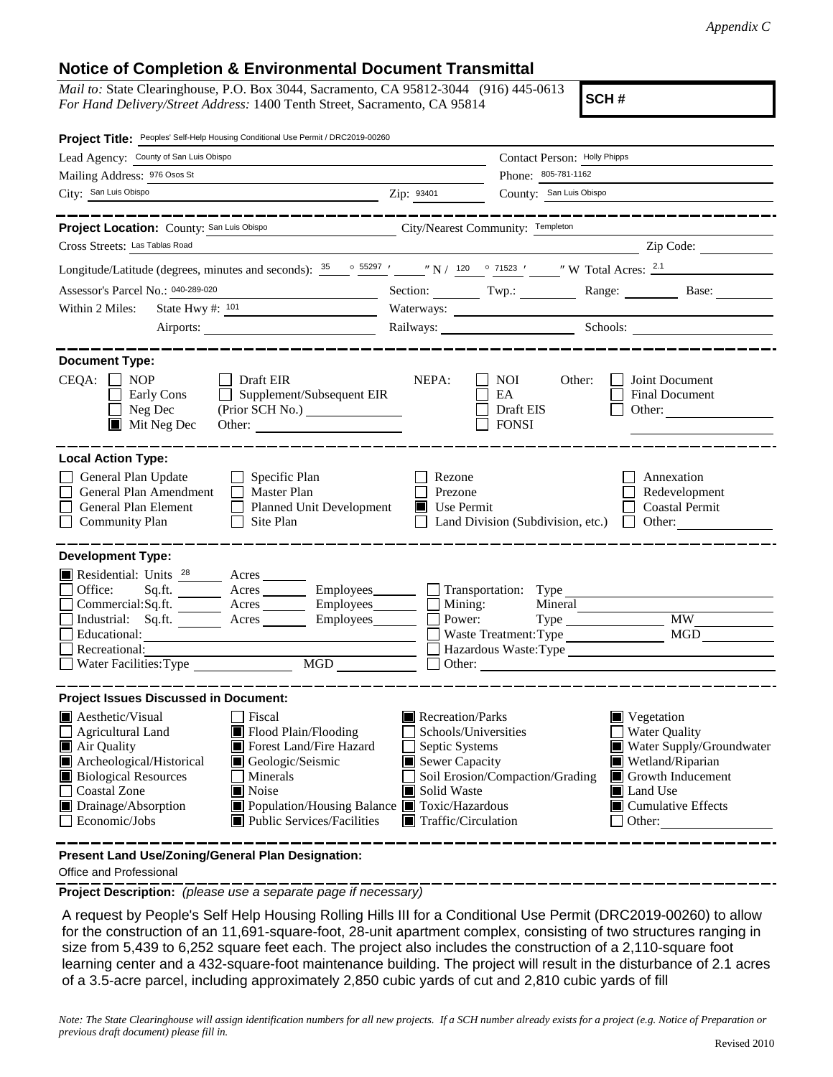## **Notice of Completion & Environmental Document Transmittal**

*Mail to:* State Clearinghouse, P.O. Box 3044, Sacramento, CA 95812-3044 (916) 445-0613 *For Hand Delivery/Street Address:* 1400 Tenth Street, Sacramento, CA 95814

**SCH #**

| Project Title: Peoples' Self-Help Housing Conditional Use Permit / DRC2019-00260                                                                                                                                                                                                                                                                                                                            |                                                |                                                                                                                                                                                                                                                                                                                                                   |                                                                |
|-------------------------------------------------------------------------------------------------------------------------------------------------------------------------------------------------------------------------------------------------------------------------------------------------------------------------------------------------------------------------------------------------------------|------------------------------------------------|---------------------------------------------------------------------------------------------------------------------------------------------------------------------------------------------------------------------------------------------------------------------------------------------------------------------------------------------------|----------------------------------------------------------------|
| Lead Agency: County of San Luis Obispo                                                                                                                                                                                                                                                                                                                                                                      | Contact Person: Holly Phipps                   |                                                                                                                                                                                                                                                                                                                                                   |                                                                |
| Mailing Address: 976 Osos St                                                                                                                                                                                                                                                                                                                                                                                |                                                | Phone: 805-781-1162                                                                                                                                                                                                                                                                                                                               |                                                                |
| City: San Luis Obispo                                                                                                                                                                                                                                                                                                                                                                                       | Zip: 93401                                     | County: San Luis Obispo                                                                                                                                                                                                                                                                                                                           |                                                                |
| Project Location: County: San Luis Obispo<br>City/Nearest Community: Templeton<br>Cross Streets: Las Tablas Road                                                                                                                                                                                                                                                                                            |                                                |                                                                                                                                                                                                                                                                                                                                                   | Zip Code:                                                      |
|                                                                                                                                                                                                                                                                                                                                                                                                             |                                                |                                                                                                                                                                                                                                                                                                                                                   |                                                                |
| Longitude/Latitude (degrees, minutes and seconds): $\frac{35}{25}$ $\frac{35297}{27}$ $\frac{1}{27}$ $\frac{1}{20}$ $\frac{35297}{27}$ $\frac{1}{20}$ $\frac{1}{20}$ $\frac{35297}{27}$ $\frac{1}{20}$ $\frac{35297}{27}$ $\frac{1}{20}$ $\frac{35297}{27}$ $\frac{1}{20}$ $\frac{35$                                                                                                                       |                                                |                                                                                                                                                                                                                                                                                                                                                   |                                                                |
| Assessor's Parcel No.: 040-289-020                                                                                                                                                                                                                                                                                                                                                                          |                                                |                                                                                                                                                                                                                                                                                                                                                   | Section: Twp.: Range: Base:                                    |
| Within 2 Miles:<br>State Hwy $\#$ : $101$                                                                                                                                                                                                                                                                                                                                                                   |                                                | Waterways:                                                                                                                                                                                                                                                                                                                                        |                                                                |
|                                                                                                                                                                                                                                                                                                                                                                                                             | Railways: Schools: Schools:                    |                                                                                                                                                                                                                                                                                                                                                   |                                                                |
| <b>Document Type:</b><br>$CEQA: \Box$<br><b>NOP</b><br>$\Box$ Draft EIR<br>$\Box$ Supplement/Subsequent EIR<br>Early Cons<br>Neg Dec<br>(Prior SCH No.)<br>$\blacksquare$<br>$\blacksquare$ Mit Neg Dec<br>Other:                                                                                                                                                                                           | NEPA:                                          | <b>NOI</b><br>Other:<br>EA<br>Draft EIS<br><b>FONSI</b>                                                                                                                                                                                                                                                                                           | Joint Document<br>Final Document<br>Other: $\qquad \qquad$     |
| <b>Local Action Type:</b>                                                                                                                                                                                                                                                                                                                                                                                   |                                                |                                                                                                                                                                                                                                                                                                                                                   |                                                                |
| General Plan Update<br>$\Box$ Specific Plan<br>General Plan Amendment<br>$\Box$ Master Plan<br>General Plan Element<br>П<br>Planned Unit Development<br>Site Plan<br><b>Community Plan</b>                                                                                                                                                                                                                  | Rezone<br>Prezone<br>$\blacksquare$ Use Permit | Land Division (Subdivision, etc.)                                                                                                                                                                                                                                                                                                                 | Annexation<br>Redevelopment<br><b>Coastal Permit</b><br>Other: |
| <b>Development Type:</b><br>Residential: Units <sup>28</sup> Acres<br>Office:<br>Sq.ft. ________ Acres _________ Employees _______ __ Transportation: Type _________________________<br>Commercial:Sq.ft. ________ Acres _________ Employees________<br>Industrial: Sq.ft. _______ Acres _______<br>Employees________<br>Educational:<br>Recreational:<br>$\overline{\text{MGD}}$<br>Water Facilities: Type | $\Box$ Mining:                                 | Power:<br>Waste Treatment: Type<br>Hazardous Waste:Type                                                                                                                                                                                                                                                                                           | <b>MW</b><br>MGD                                               |
| <b>Project Issues Discussed in Document:</b>                                                                                                                                                                                                                                                                                                                                                                |                                                |                                                                                                                                                                                                                                                                                                                                                   |                                                                |
| $\blacksquare$ Aesthetic/Visual<br>Fiscal<br>Flood Plain/Flooding<br>Agricultural Land<br>Air Quality<br>Forest Land/Fire Hazard<br>Archeological/Historical<br>Geologic/Seismic<br><b>Biological Resources</b><br>Minerals<br>Coastal Zone<br>Noise<br>■ Population/Housing Balance ■ Toxic/Hazardous<br>$\blacksquare$ Drainage/Absorption<br>Economic/Jobs<br>$\blacksquare$ Public Services/Facilities  |                                                | Recreation/Parks<br>$\blacksquare$ Vegetation<br><b>Water Quality</b><br>Schools/Universities<br>Septic Systems<br>Water Supply/Groundwater<br>Sewer Capacity<br>Wetland/Riparian<br>Soil Erosion/Compaction/Grading<br>Growth Inducement<br>Solid Waste<br>Land Use<br><b>Cumulative Effects</b><br>$\blacksquare$ Traffic/Circulation<br>Other: |                                                                |

**Present Land Use/Zoning/General Plan Designation:**

Office and Professional

**Project Description:** *(please use a separate page if necessary)*

 A request by People's Self Help Housing Rolling Hills III for a Conditional Use Permit (DRC2019-00260) to allow for the construction of an 11,691-square-foot, 28-unit apartment complex, consisting of two structures ranging in size from 5,439 to 6,252 square feet each. The project also includes the construction of a 2,110-square foot learning center and a 432-square-foot maintenance building. The project will result in the disturbance of 2.1 acres of a 3.5-acre parcel, including approximately 2,850 cubic yards of cut and 2,810 cubic yards of fill

*Note: The State Clearinghouse will assign identification numbers for all new projects. If a SCH number already exists for a project (e.g. Notice of Preparation or previous draft document) please fill in.*